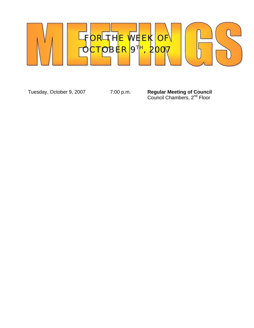

Tuesday, October 9, 2007 7:00 p.m. **Regular Meeting of Council Council Chambers, 2<sup>nd</sup> Floor**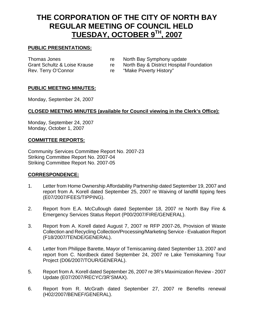# **THE CORPORATION OF THE CITY OF NORTH BAY REGULAR MEETING OF COUNCIL HELD TUESDAY, OCTOBER 9TH, 2007**

### **PUBLIC PRESENTATIONS:**

Thomas Jones **re** North Bay Symphony update Grant Schultz & Loise Krause re North Bay & District Hospital Foundation Rev. Terry O'Connor The "Make Poverty History"

### **PUBLIC MEETING MINUTES:**

Monday, September 24, 2007

#### **CLOSED MEETING MINUTES (available for Council viewing in the Clerk's Office):**

Monday, September 24, 2007 Monday, October 1, 2007

#### **COMMITTEE REPORTS:**

Community Services Committee Report No. 2007-23 Striking Committee Report No. 2007-04 Striking Committee Report No. 2007-05

#### **CORRESPONDENCE:**

- 1. Letter from Home Ownership Affordability Partnership dated September 19, 2007 and report from A. Korell dated September 25, 2007 re Waiving of landfill tipping fees (E07/2007/FEES/TIPPING).
- 2. Report from E.A. McCullough dated September 18, 2007 re North Bay Fire & Emergency Services Status Report (P00/2007/FIRE/GENERAL).
- 3. Report from A. Korell dated August 7, 2007 re RFP 2007-26, Provision of Waste Collection and Recycling Collection/Processing/Marketing Service - Evaluation Report (F18/2007/TENDE/GENERAL).
- 4. Letter from Philippe Barette, Mayor of Temiscaming dated September 13, 2007 and report from C. Nordbeck dated September 24, 2007 re Lake Temiskaming Tour Project (D06/2007/TOUR/GENERAL).
- 5. Report from A. Korell dated September 26, 2007 re 3R's Maximization Review 2007 Update (E07/2007/RECYC/3R'SMAX).
- 6. Report from R. McGrath dated September 27, 2007 re Benefits renewal (H02/2007/BENEF/GENERAL).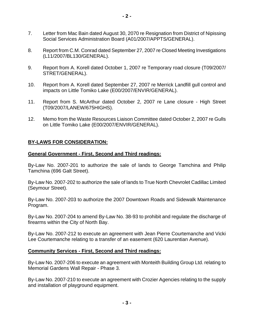- 7. Letter from Mac Bain dated August 30, 2070 re Resignation from District of Nipissing Social Services Administration Board (A01/2007/APPTS/GENERAL).
- 8. Report from C.M. Conrad dated September 27, 2007 re Closed Meeting Investigations (L11/2007/BL130/GENERAL).
- 9. Report from A. Korell dated October 1, 2007 re Temporary road closure (T09/2007/ STRET/GENERAL).
- 10. Report from A. Korell dated September 27, 2007 re Merrick Landfill gull control and impacts on Little Tomiko Lake (E00/2007/ENVIR/GENERAL).
- 11. Report from S. McArthur dated October 2, 2007 re Lane closure High Street (T09/2007/LANEW/675HIGHS).
- 12. Memo from the Waste Resources Liaison Committee dated October 2, 2007 re Gulls on Little Tomiko Lake (E00/2007/ENVIR/GENERAL).

### **BY-LAWS FOR CONSIDERATION:**

#### **General Government - First, Second and Third readings:**

By-Law No. 2007-201 to authorize the sale of lands to George Tamchina and Philip Tamchina (696 Galt Street).

By-Law No. 2007-202 to authorize the sale of lands to True North Chevrolet Cadillac Limited (Seymour Street).

By-Law No. 2007-203 to authorize the 2007 Downtown Roads and Sidewalk Maintenance Program.

By-Law No. 2007-204 to amend By-Law No. 38-93 to prohibit and regulate the discharge of firearms within the City of North Bay.

By-Law No. 2007-212 to execute an agreement with Jean Pierre Courtemanche and Vicki Lee Courtemanche relating to a transfer of an easement (620 Laurentian Avenue).

#### **Community Services - First, Second and Third readings:**

By-Law No. 2007-206 to execute an agreement with Monteith Building Group Ltd. relating to Memorial Gardens Wall Repair - Phase 3.

By-Law No. 2007-210 to execute an agreement with Crozier Agencies relating to the supply and installation of playground equipment.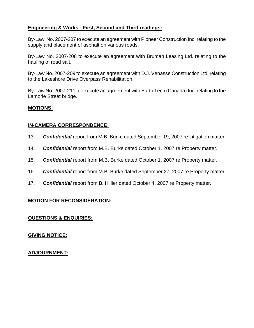## **Engineering & Works - First, Second and Third readings:**

By-Law No. 2007-207 to execute an agreement with Pioneer Construction Inc. relating to the supply and placement of asphalt on various roads.

By-Law No. 2007-208 to execute an agreement with Bruman Leasing Ltd. relating to the hauling of road salt.

By-Law No. 2007-209 to execute an agreement with D.J. Venasse Construction Ltd. relating to the Lakeshore Drive Overpass Rehabilitation.

By-Law No. 2007-211 to execute an agreement with Earth Tech (Canada) Inc. relating to the Lamorie Street bridge.

### **MOTIONS:**

#### **IN-CAMERA CORRESPONDENCE:**

- 13. *Confidential* report from M.B. Burke dated September 19, 2007 re Litigation matter.
- 14. *Confidential* report from M.B. Burke dated October 1, 2007 re Property matter.
- 15. *Confidential* report from M.B. Burke dated October 1, 2007 re Property matter.
- 16. *Confidential* report from M.B. Burke dated September 27, 2007 re Property matter.
- 17. *Confidential* report from B. Hillier dated October 4, 2007 re Property matter.

## **MOTION FOR RECONSIDERATION:**

## **QUESTIONS & ENQUIRIES:**

## **GIVING NOTICE:**

## **ADJOURNMENT:**